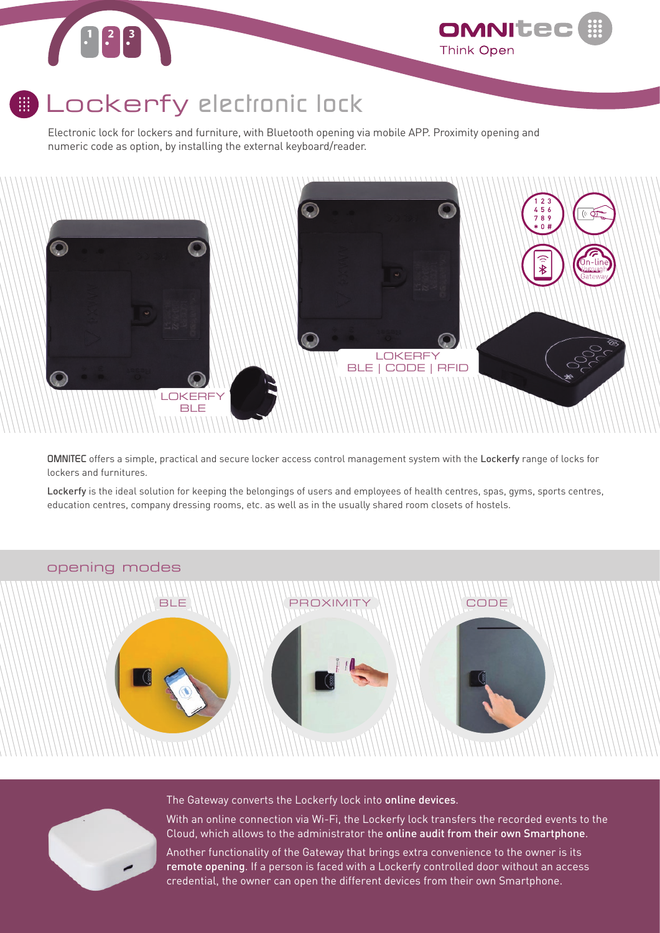# $\begin{array}{|c|c|c|}\hline 1 & 2 & 3 \\ \hline & 2 & 3 \\ \hline & 3 & 3 \\ \hline & 4 & 3 & 3 \\ \hline & 5 & 3 & 3 \\ \hline & 6 & 3 & 3 \\ \hline & 7 & 3 & 3 & 3 \\ \hline & 8 & 3 & 3 & 3 \\ \hline & 9 & 3 & 3 & 3 \\ \hline & 10 & 3 & 3 & 3 & 3 \\ \hline & 11 & 3 & 3 & 3 & 3 \\ \hline & 12 & 3 & 3 & 3 & 3 \\ \hline & 13 & 3 & 3 & 3 & 3 \\ \hline & 14 &$

### Lockerfy *electronic lock*

Electronic lock for lockers and furniture, with Bluetooth opening via mobile APP. Proximity opening and numeric code as option, by installing the external keyboard/reader.



OMNITE

**Think Open** 

*OMNITEC* offers a simple, practical and secure locker access control management system with the Lockerfy range of locks for lockers and furnitures.

Lockerfy is the ideal solution for keeping the belongings of users and employees of health centres, spas, gyms, sports centres, education centres, company dressing rooms, etc. as well as in the usually shared room closets of hostels.



### opening modes



The Gateway converts the Lockerfy lock into online devices.

With an online connection via Wi-Fi, the Lockerfy lock transfers the recorded events to the Cloud, which allows to the administrator the online audit from their own Smartphone.

Another functionality of the Gateway that brings extra convenience to the owner is its remote opening. If a person is faced with a Lockerfy controlled door without an access credential, the owner can open the different devices from their own Smartphone.